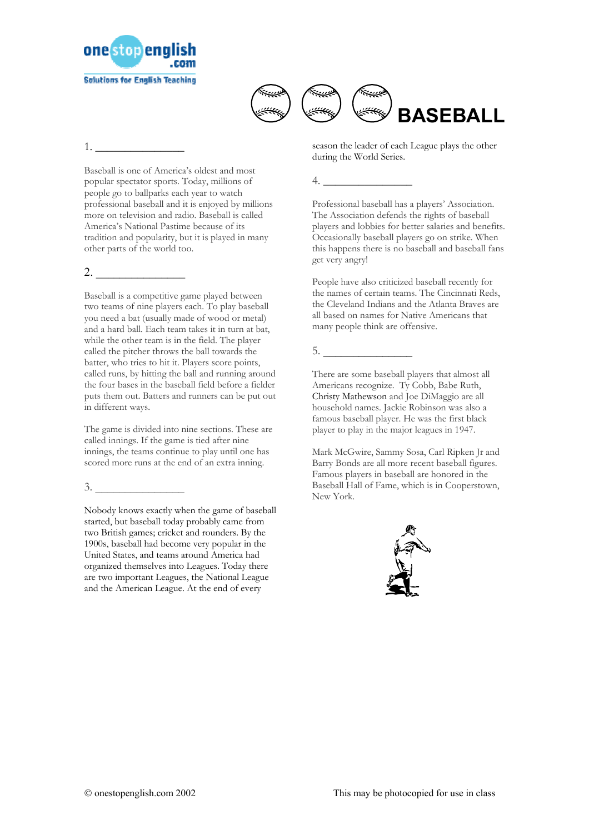



1. \_\_\_\_\_\_\_\_\_\_\_\_\_\_\_

Baseball is one of America's oldest and most popular spectator sports. Today, millions of people go to ballparks each year to watch professional baseball and it is enjoyed by millions more on television and radio. Baseball is called America's National Pastime because of its tradition and popularity, but it is played in many other parts of the world too.

## $2.$

Baseball is a competitive game played between two teams of nine players each. To play baseball you need a bat (usually made of wood or metal) and a hard ball. Each team takes it in turn at bat, while the other team is in the field. The player called the pitcher throws the ball towards the batter, who tries to hit it. Players score points, called runs, by hitting the ball and running around the four bases in the baseball field before a fielder puts them out. Batters and runners can be put out in different ways.

The game is divided into nine sections. These are called innings. If the game is tied after nine innings, the teams continue to play until one has scored more runs at the end of an extra inning.

 $3.$ 

Nobody knows exactly when the game of baseball started, but baseball today probably came from two British games; cricket and rounders. By the 1900s, baseball had become very popular in the United States, and teams around America had organized themselves into Leagues. Today there are two important Leagues, the National League and the American League. At the end of every

season the leader of each League plays the other during the World Series.

## 4. \_\_\_\_\_\_\_\_\_\_\_\_\_\_\_

Professional baseball has a players' Association. The Association defends the rights of baseball players and lobbies for better salaries and benefits. Occasionally baseball players go on strike. When this happens there is no baseball and baseball fans get very angry!

People have also criticized baseball recently for the names of certain teams. The Cincinnati Reds, the Cleveland Indians and the Atlanta Braves are all based on names for Native Americans that many people think are offensive.

## 5. \_\_\_\_\_\_\_\_\_\_\_\_\_\_\_

There are some baseball players that almost all Americans recognize. Ty Cobb, Babe Ruth, Christy Mathewson and Joe DiMaggio are all household names. Jackie Robinson was also a famous baseball player. He was the first black player to play in the major leagues in 1947.

Mark McGwire, Sammy Sosa, Carl Ripken Jr and Barry Bonds are all more recent baseball figures. Famous players in baseball are honored in the Baseball Hall of Fame, which is in Cooperstown, New York.